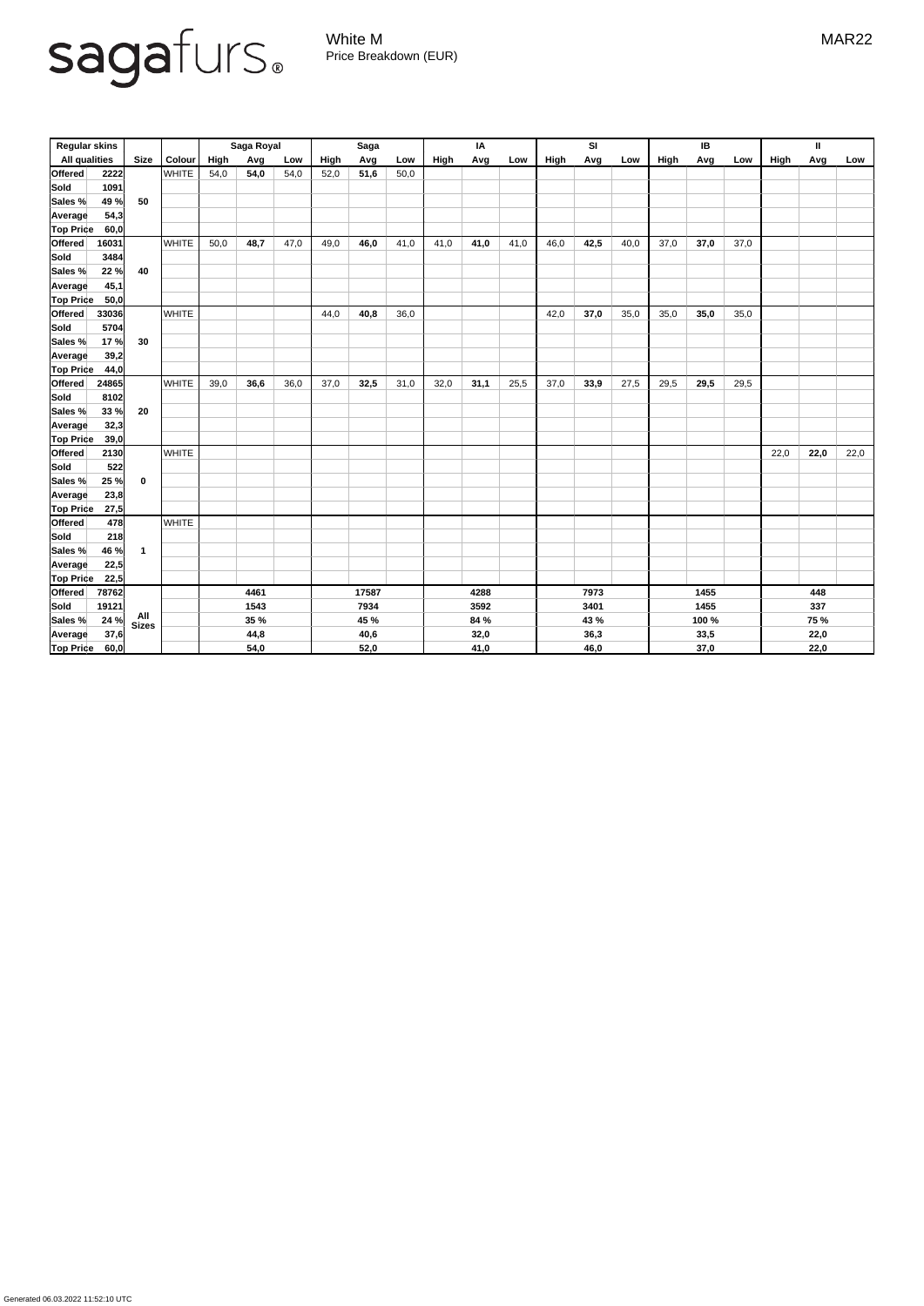Generated 06.03.2022 11:52:10 UTC

## sagafurs.

White M MAR22 Price Breakdown (EUR)

| <b>Regular skins</b> |       |                         |               | Saga Royal |             |      | <b>Saga</b> |      |      | IA   |      |      | <b>SI</b> |      |      | IB   |       |      | $\mathbf{I}$ |             |      |
|----------------------|-------|-------------------------|---------------|------------|-------------|------|-------------|------|------|------|------|------|-----------|------|------|------|-------|------|--------------|-------------|------|
| <b>All qualities</b> |       | <b>Size</b>             | <b>Colour</b> | High       | Avg         | Low  | High        | Avg  | Low  | High | Avg  | Low  | High      | Avg  | Low  | High | Avg   | Low  | High         | Avg         | Low  |
| <b>Offered</b>       | 2222  |                         | <b>WHITE</b>  | 54,0       | 54,0        | 54,0 | 52,0        | 51,6 | 50,0 |      |      |      |           |      |      |      |       |      |              |             |      |
| <b>Sold</b>          | 1091  |                         |               |            |             |      |             |      |      |      |      |      |           |      |      |      |       |      |              |             |      |
| Sales %              | 49 %  | 50                      |               |            |             |      |             |      |      |      |      |      |           |      |      |      |       |      |              |             |      |
| <b>Average</b>       | 54,3  |                         |               |            |             |      |             |      |      |      |      |      |           |      |      |      |       |      |              |             |      |
| <b>Top Price</b>     | 60,0  |                         |               |            |             |      |             |      |      |      |      |      |           |      |      |      |       |      |              |             |      |
| <b>Offered</b>       | 16031 |                         | <b>WHITE</b>  | 50,0       | 48,7        | 47,0 | 49,0        | 46,0 | 41,0 | 41,0 | 41,0 | 41,0 | 46,0      | 42,5 | 40,0 | 37,0 | 37,0  | 37,0 |              |             |      |
| Sold                 | 3484  |                         |               |            |             |      |             |      |      |      |      |      |           |      |      |      |       |      |              |             |      |
| Sales %              | 22 %  | 40                      |               |            |             |      |             |      |      |      |      |      |           |      |      |      |       |      |              |             |      |
| <b>Average</b>       | 45,1  |                         |               |            |             |      |             |      |      |      |      |      |           |      |      |      |       |      |              |             |      |
| <b>Top Price</b>     | 50,0  |                         |               |            |             |      |             |      |      |      |      |      |           |      |      |      |       |      |              |             |      |
| <b>Offered</b>       | 33036 |                         | <b>WHITE</b>  |            |             |      | 44,0        | 40,8 | 36,0 |      |      |      | 42,0      | 37,0 | 35,0 | 35,0 | 35,0  | 35,0 |              |             |      |
| <b>Sold</b>          | 5704  |                         |               |            |             |      |             |      |      |      |      |      |           |      |      |      |       |      |              |             |      |
| Sales %              | 17 %  | 30                      |               |            |             |      |             |      |      |      |      |      |           |      |      |      |       |      |              |             |      |
| Average              | 39,2  |                         |               |            |             |      |             |      |      |      |      |      |           |      |      |      |       |      |              |             |      |
| <b>Top Price</b>     | 44,0  |                         |               |            |             |      |             |      |      |      |      |      |           |      |      |      |       |      |              |             |      |
| <b>Offered</b>       | 24865 |                         | <b>WHITE</b>  | 39,0       | 36,6        | 36,0 | 37,0        | 32,5 | 31,0 | 32,0 | 31,1 | 25,5 | 37,0      | 33,9 | 27,5 | 29,5 | 29,5  | 29,5 |              |             |      |
| Sold                 | 8102  |                         |               |            |             |      |             |      |      |      |      |      |           |      |      |      |       |      |              |             |      |
| Sales %              | 33 %  | 20                      |               |            |             |      |             |      |      |      |      |      |           |      |      |      |       |      |              |             |      |
| <b>Average</b>       | 32,3  |                         |               |            |             |      |             |      |      |      |      |      |           |      |      |      |       |      |              |             |      |
| <b>Top Price</b>     | 39,0  |                         |               |            |             |      |             |      |      |      |      |      |           |      |      |      |       |      |              |             |      |
| <b>Offered</b>       | 2130  |                         | <b>WHITE</b>  |            |             |      |             |      |      |      |      |      |           |      |      |      |       |      | 22,0         | 22,0        | 22,0 |
| Sold                 | 522   |                         |               |            |             |      |             |      |      |      |      |      |           |      |      |      |       |      |              |             |      |
| Sales %              | 25 %  | $\bf{0}$                |               |            |             |      |             |      |      |      |      |      |           |      |      |      |       |      |              |             |      |
| Average              | 23,8  |                         |               |            |             |      |             |      |      |      |      |      |           |      |      |      |       |      |              |             |      |
| <b>Top Price</b>     | 27,5  |                         |               |            |             |      |             |      |      |      |      |      |           |      |      |      |       |      |              |             |      |
| Offered              | 478   |                         | <b>WHITE</b>  |            |             |      |             |      |      |      |      |      |           |      |      |      |       |      |              |             |      |
| Sold                 | 218   |                         |               |            |             |      |             |      |      |      |      |      |           |      |      |      |       |      |              |             |      |
| Sales %              | 46 %  | $\overline{\mathbf{1}}$ |               |            |             |      |             |      |      |      |      |      |           |      |      |      |       |      |              |             |      |
| <b>Average</b>       | 22,5  |                         |               |            |             |      |             |      |      |      |      |      |           |      |      |      |       |      |              |             |      |
| <b>Top Price</b>     | 22,5  |                         |               |            |             |      |             |      |      |      |      |      |           |      |      |      |       |      |              |             |      |
| <b>Offered</b>       | 78762 |                         | 4461          |            | 17587       |      | 4288        |      |      | 7973 |      |      | 1455      |      |      | 448  |       |      |              |             |      |
| <b>Sold</b>          | 19121 |                         |               | 1543       |             |      | 7934        |      |      | 3592 |      |      | 3401      |      |      | 1455 |       |      | 337          |             |      |
| Sales %              | 24%   | All<br>Sizes            |               |            | <b>35 %</b> |      |             | 45 % |      |      | 84 % |      |           | 43 % |      |      | 100 % |      |              | <b>75 %</b> |      |
| <b>Average</b>       | 37,6  |                         |               |            | 44,8        |      |             | 40,6 |      |      | 32,0 |      |           | 36,3 |      |      | 33,5  |      |              | 22,0        |      |
| <b>Top Price</b>     | 60,0  |                         |               |            | 54,0        |      |             | 52,0 |      |      | 41,0 |      |           | 46,0 |      |      | 37,0  |      |              | 22,0        |      |